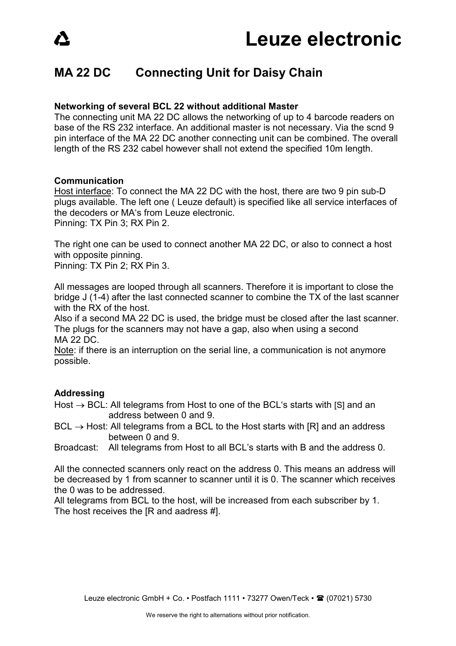## **MA 22 DC Connecting Unit for Daisy Chain**

### **Networking of several BCL 22 without additional Master**

The connecting unit MA 22 DC allows the networking of up to 4 barcode readers on base of the RS 232 interface. An additional master is not necessary. Via the scnd 9 pin interface of the MA 22 DC another connecting unit can be combined. The overall length of the RS 232 cabel however shall not extend the specified 10m length.

### **Communication**

Host interface: To connect the MA 22 DC with the host, there are two 9 pin sub-D plugs available. The left one ( Leuze default) is specified like all service interfaces of the decoders or MA's from Leuze electronic. Pinning: TX Pin 3; RX Pin 2.

The right one can be used to connect another MA 22 DC, or also to connect a host with opposite pinning.

Pinning: TX Pin 2; RX Pin 3.

All messages are looped through all scanners. Therefore it is important to close the bridge J (1-4) after the last connected scanner to combine the TX of the last scanner with the RX of the host.

Also if a second MA 22 DC is used, the bridge must be closed after the last scanner. The plugs for the scanners may not have a gap, also when using a second MA 22 DC.

Note: if there is an interruption on the serial line, a communication is not anymore possible.

### **Addressing**

Host  $\rightarrow$  BCL: All telegrams from Host to one of the BCL's starts with [S] and an address between 0 and 9.

 $BCL \rightarrow Host:$  All telegrams from a BCL to the Host starts with [R] and an address between 0 and 9.

Broadcast: All telegrams from Host to all BCL's starts with B and the address 0.

All the connected scanners only react on the address 0. This means an address will be decreased by 1 from scanner to scanner until it is 0. The scanner which receives the 0 was to be addressed.

All telegrams from BCL to the host, will be increased from each subscriber by 1. The host receives the [R and aadress #].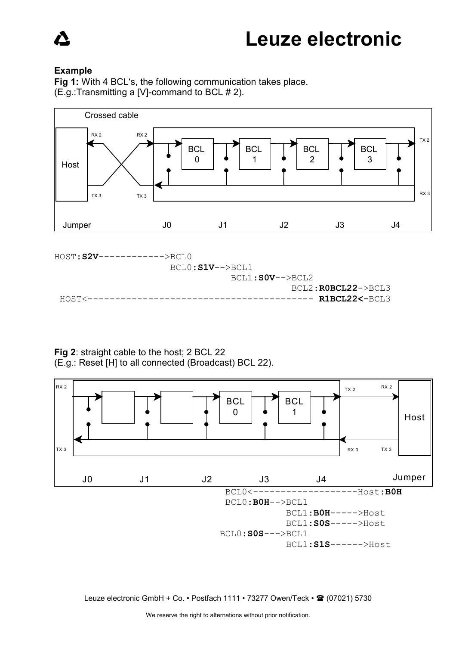### **Example**

**Fig 1:** With 4 BCL's, the following communication takes place. (E.g.:Transmitting a [V]-command to BCL # 2).





**Fig 2**: straight cable to the host; 2 BCL 22 (E.g.: Reset [H] to all connected (Broadcast) BCL 22).



Leuze electronic GmbH + Co. • Postfach 1111 • 73277 Owen/Teck • <sup>2</sup> (07021) 5730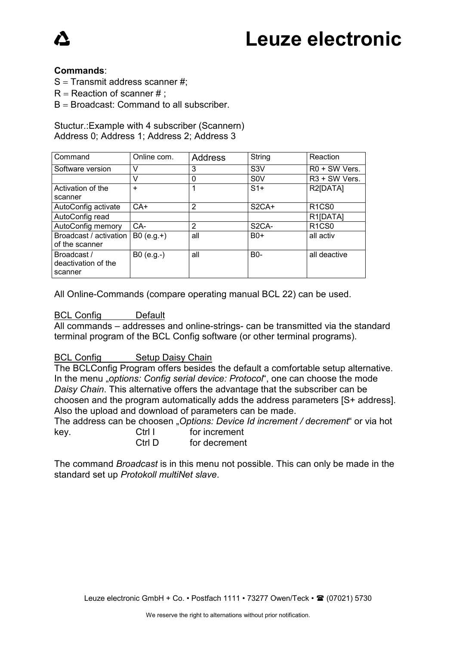# Leuze electronic

### **Commands**:

 $S =$  Transmit address scanner #;

- $R =$  Reaction of scanner #;
- $B =$  Broadcast: Command to all subscriber.

### Stuctur.:Example with 4 subscriber (Scannern) Address 0; Address 1; Address 2; Address 3

| Command                                       | Online com.  | <b>Address</b> | String             | Reaction                       |
|-----------------------------------------------|--------------|----------------|--------------------|--------------------------------|
| Software version                              |              | 3              | S <sub>3</sub> V   | R0 + SW Vers.                  |
|                                               | $\vee$       | 0              | S <sub>0</sub> V   | R <sub>3</sub> + SW Vers.      |
| Activation of the                             | $\ddot{}$    |                | $S1+$              | R2[DATA]                       |
| scanner                                       |              |                |                    |                                |
| AutoConfig activate                           | $CA+$        | $\overline{2}$ | $S2CA+$            | R <sub>1</sub> C <sub>S0</sub> |
| AutoConfig read                               |              |                |                    | R <sub>1</sub> [DATA]          |
| AutoConfig memory                             | CA-          | 2              | S <sub>2</sub> CA- | R <sub>1</sub> C <sub>S0</sub> |
| Broadcast / activation<br>of the scanner      | $B0 (e.g.+)$ | all            | $B0+$              | all activ                      |
| Broadcast /<br>deactivation of the<br>scanner | $B0 (e.g.-)$ | all            | <b>B0-</b>         | all deactive                   |

All Online-Commands (compare operating manual BCL 22) can be used.

### BCL Config Default

All commands – addresses and online-strings- can be transmitted via the standard terminal program of the BCL Config software (or other terminal programs).

### BCL Config Setup Daisy Chain

The BCLConfig Program offers besides the default a comfortable setup alternative. In the menu "*options: Config serial device: Protocol*", one can choose the mode *Daisy Chain*. This alternative offers the advantage that the subscriber can be choosen and the program automatically adds the address parameters [S+ address]. Also the upload and download of parameters can be made.

The address can be choosen "*Options: Device Id increment / decrement*" or via hot key. Ctrl I for increment

Ctrl D for decrement

The command *Broadcast* is in this menu not possible. This can only be made in the standard set up *Protokoll multiNet slave*.